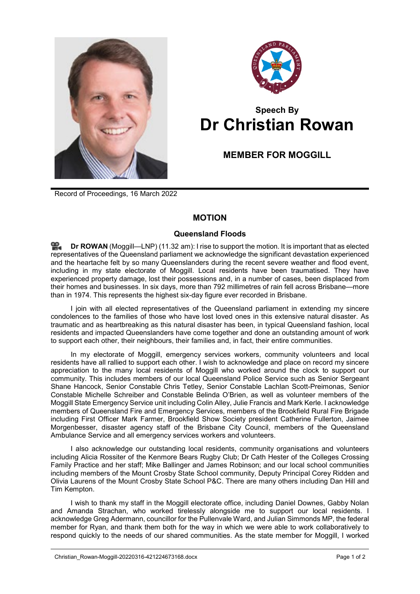



## **Speech By Dr Christian Rowan**

## **MEMBER FOR MOGGILL**

Record of Proceedings, 16 March 2022

## **MOTION**

## **Queensland Floods**

≌. **Dr [ROWAN](http://www.parliament.qld.gov.au/docs/find.aspx?id=0Mba20220316_113226)** (Moggill—LNP) (11.32 am): I rise to support the motion. It is important that as elected representatives of the Queensland parliament we acknowledge the significant devastation experienced and the heartache felt by so many Queenslanders during the recent severe weather and flood event, including in my state electorate of Moggill. Local residents have been traumatised. They have experienced property damage, lost their possessions and, in a number of cases, been displaced from their homes and businesses. In six days, more than 792 millimetres of rain fell across Brisbane—more than in 1974. This represents the highest six-day figure ever recorded in Brisbane.

I join with all elected representatives of the Queensland parliament in extending my sincere condolences to the families of those who have lost loved ones in this extensive natural disaster. As traumatic and as heartbreaking as this natural disaster has been, in typical Queensland fashion, local residents and impacted Queenslanders have come together and done an outstanding amount of work to support each other, their neighbours, their families and, in fact, their entire communities.

In my electorate of Moggill, emergency services workers, community volunteers and local residents have all rallied to support each other. I wish to acknowledge and place on record my sincere appreciation to the many local residents of Moggill who worked around the clock to support our community. This includes members of our local Queensland Police Service such as Senior Sergeant Shane Hancock, Senior Constable Chris Tetley, Senior Constable Lachlan Scott-Preimonas, Senior Constable Michelle Schreiber and Constable Belinda O'Brien, as well as volunteer members of the Moggill State Emergency Service unit including Colin Alley, Julie Francis and Mark Kerle. I acknowledge members of Queensland Fire and Emergency Services, members of the Brookfield Rural Fire Brigade including First Officer Mark Farmer, Brookfield Show Society president Catherine Fullerton, Jaimee Morgenbesser, disaster agency staff of the Brisbane City Council, members of the Queensland Ambulance Service and all emergency services workers and volunteers.

I also acknowledge our outstanding local residents, community organisations and volunteers including Alicia Rossiter of the Kenmore Bears Rugby Club; Dr Cath Hester of the Colleges Crossing Family Practice and her staff; Mike Ballinger and James Robinson; and our local school communities including members of the Mount Crosby State School community, Deputy Principal Corey Ridden and Olivia Laurens of the Mount Crosby State School P&C. There are many others including Dan Hill and Tim Kempton.

I wish to thank my staff in the Moggill electorate office, including Daniel Downes, Gabby Nolan and Amanda Strachan, who worked tirelessly alongside me to support our local residents. I acknowledge Greg Adermann, councillor for the Pullenvale Ward, and Julian Simmonds MP, the federal member for Ryan, and thank them both for the way in which we were able to work collaboratively to respond quickly to the needs of our shared communities. As the state member for Moggill, I worked